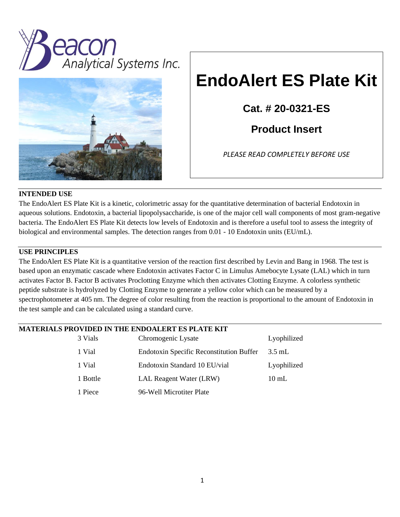



# **EndoAlert ES Plate Kit**

**Cat. # 20-0321-ES**

**Product Insert**

*PLEASE READ COMPLETELY BEFORE USE*

## **INTENDED USE**

The EndoAlert ES Plate Kit is a kinetic, colorimetric assay for the quantitative determination of bacterial Endotoxin in aqueous solutions. Endotoxin, a bacterial lipopolysaccharide, is one of the major cell wall components of most gram-negative bacteria. The EndoAlert ES Plate Kit detects low levels of Endotoxin and is therefore a useful tool to assess the integrity of biological and environmental samples. The detection ranges from 0.01 - 10 Endotoxin units (EU/mL).

# **USE PRINCIPLES**

The EndoAlert ES Plate Kit is a quantitative version of the reaction first described by Levin and Bang in 1968. The test is based upon an enzymatic cascade where Endotoxin activates Factor C in Limulus Amebocyte Lysate (LAL) which in turn activates Factor B. Factor B activates Proclotting Enzyme which then activates Clotting Enzyme. A colorless synthetic peptide substrate is hydrolyzed by Clotting Enzyme to generate a yellow color which can be measured by a spectrophotometer at 405 nm. The degree of color resulting from the reaction is proportional to the amount of Endotoxin in the test sample and can be calculated using a standard curve.

## **MATERIALS PROVIDED IN THE ENDOALERT ES PLATE KIT**

| 3 Vials  | Chromogenic Lysate                              | Lyophilized     |
|----------|-------------------------------------------------|-----------------|
| 1 Vial   | <b>Endotoxin Specific Reconstitution Buffer</b> | $3.5$ mL        |
| 1 Vial   | Endotoxin Standard 10 EU/vial                   | Lyophilized     |
| 1 Bottle | LAL Reagent Water (LRW)                         | $10 \text{ mL}$ |
| 1 Piece  | 96-Well Microtiter Plate                        |                 |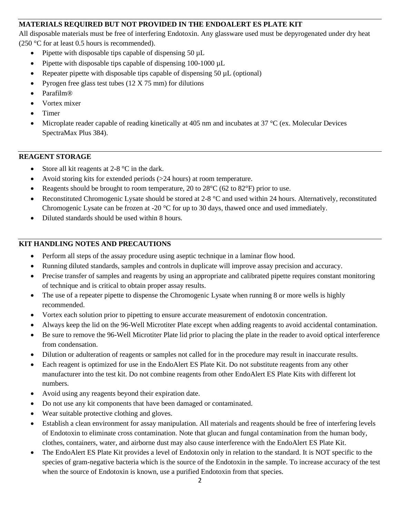# **MATERIALS REQUIRED BUT NOT PROVIDED IN THE ENDOALERT ES PLATE KIT**

All disposable materials must be free of interfering Endotoxin. Any glassware used must be depyrogenated under dry heat (250 °C for at least 0.5 hours is recommended).

- Pipette with disposable tips capable of dispensing 50  $\mu$ L
- Pipette with disposable tips capable of dispensing 100-1000  $\mu$ L
- Repeater pipette with disposable tips capable of dispensing  $50 \mu L$  (optional)
- Pyrogen free glass test tubes (12 X 75 mm) for dilutions
- Parafilm®
- Vortex mixer
- Timer
- Microplate reader capable of reading kinetically at 405 nm and incubates at 37  $\degree$ C (ex. Molecular Devices SpectraMax Plus 384).

## **REAGENT STORAGE**

- Store all kit reagents at  $2-8$  °C in the dark.
- Avoid storing kits for extended periods (>24 hours) at room temperature.
- Reagents should be brought to room temperature, 20 to  $28^{\circ}C$  (62 to  $82^{\circ}F$ ) prior to use.
- Reconstituted Chromogenic Lysate should be stored at 2-8 °C and used within 24 hours. Alternatively, reconstituted Chromogenic Lysate can be frozen at -20 °C for up to 30 days, thawed once and used immediately.
- Diluted standards should be used within 8 hours.

## **KIT HANDLING NOTES AND PRECAUTIONS**

- Perform all steps of the assay procedure using aseptic technique in a laminar flow hood.
- Running diluted standards, samples and controls in duplicate will improve assay precision and accuracy.
- Precise transfer of samples and reagents by using an appropriate and calibrated pipette requires constant monitoring of technique and is critical to obtain proper assay results.
- The use of a repeater pipette to dispense the Chromogenic Lysate when running 8 or more wells is highly recommended.
- Vortex each solution prior to pipetting to ensure accurate measurement of endotoxin concentration.
- Always keep the lid on the 96-Well Microtiter Plate except when adding reagents to avoid accidental contamination.
- Be sure to remove the 96-Well Microtiter Plate lid prior to placing the plate in the reader to avoid optical interference from condensation.
- Dilution or adulteration of reagents or samples not called for in the procedure may result in inaccurate results.
- Each reagent is optimized for use in the EndoAlert ES Plate Kit. Do not substitute reagents from any other manufacturer into the test kit. Do not combine reagents from other EndoAlert ES Plate Kits with different lot numbers.
- Avoid using any reagents beyond their expiration date.
- Do not use any kit components that have been damaged or contaminated.
- Wear suitable protective clothing and gloves.
- Establish a clean environment for assay manipulation. All materials and reagents should be free of interfering levels of Endotoxin to eliminate cross contamination. Note that glucan and fungal contamination from the human body, clothes, containers, water, and airborne dust may also cause interference with the EndoAlert ES Plate Kit.
- The EndoAlert ES Plate Kit provides a level of Endotoxin only in relation to the standard. It is NOT specific to the species of gram-negative bacteria which is the source of the Endotoxin in the sample. To increase accuracy of the test when the source of Endotoxin is known, use a purified Endotoxin from that species.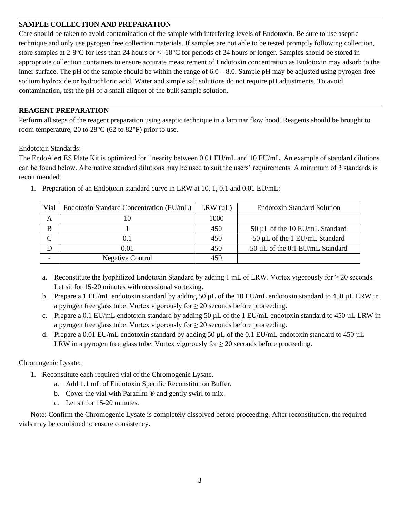## **SAMPLE COLLECTION AND PREPARATION**

Care should be taken to avoid contamination of the sample with interfering levels of Endotoxin. Be sure to use aseptic technique and only use pyrogen free collection materials. If samples are not able to be tested promptly following collection, store samples at 2-8°C for less than 24 hours or  $\leq$ -18°C for periods of 24 hours or longer. Samples should be stored in appropriate collection containers to ensure accurate measurement of Endotoxin concentration as Endotoxin may adsorb to the inner surface. The pH of the sample should be within the range of 6.0 – 8.0. Sample pH may be adjusted using pyrogen-free sodium hydroxide or hydrochloric acid. Water and simple salt solutions do not require pH adjustments. To avoid contamination, test the pH of a small aliquot of the bulk sample solution.

## **REAGENT PREPARATION**

Perform all steps of the reagent preparation using aseptic technique in a laminar flow hood. Reagents should be brought to room temperature, 20 to  $28^{\circ}$ C (62 to  $82^{\circ}$ F) prior to use.

#### Endotoxin Standards:

The EndoAlert ES Plate Kit is optimized for linearity between 0.01 EU/mL and 10 EU/mL. An example of standard dilutions can be found below. Alternative standard dilutions may be used to suit the users' requirements. A minimum of 3 standards is recommended.

| Vial | Endotoxin Standard Concentration (EU/mL) | $LRW(\mu L)$ | <b>Endotoxin Standard Solution</b>   |  |  |
|------|------------------------------------------|--------------|--------------------------------------|--|--|
| A    | 10                                       | 1000         |                                      |  |  |
| В    |                                          | 450          | 50 µL of the 10 EU/mL Standard       |  |  |
|      |                                          | 450          | 50 µL of the 1 EU/mL Standard        |  |  |
|      | O 01                                     | 450          | $50 \mu L$ of the 0.1 EU/mL Standard |  |  |
|      | <b>Negative Control</b>                  | 450          |                                      |  |  |

1. Preparation of an Endotoxin standard curve in LRW at 10, 1, 0.1 and 0.01 EU/mL;

- a. Reconstitute the lyophilized Endotoxin Standard by adding 1 mL of LRW. Vortex vigorously for  $\geq$  20 seconds. Let sit for 15-20 minutes with occasional vortexing.
- b. Prepare a 1 EU/mL endotoxin standard by adding 50  $\mu$ L of the 10 EU/mL endotoxin standard to 450  $\mu$ L LRW in a pyrogen free glass tube. Vortex vigorously for  $\geq 20$  seconds before proceeding.
- c. Prepare a 0.1 EU/mL endotoxin standard by adding 50  $\mu$ L of the 1 EU/mL endotoxin standard to 450  $\mu$ L LRW in a pyrogen free glass tube. Vortex vigorously for  $\geq 20$  seconds before proceeding.
- d. Prepare a 0.01 EU/mL endotoxin standard by adding 50  $\mu$ L of the 0.1 EU/mL endotoxin standard to 450  $\mu$ L LRW in a pyrogen free glass tube. Vortex vigorously for  $\geq 20$  seconds before proceeding.

## Chromogenic Lysate:

- 1. Reconstitute each required vial of the Chromogenic Lysate.
	- a. Add 1.1 mL of Endotoxin Specific Reconstitution Buffer.
	- b. Cover the vial with Parafilm ® and gently swirl to mix.
	- c. Let sit for 15-20 minutes.

Note: Confirm the Chromogenic Lysate is completely dissolved before proceeding. After reconstitution, the required vials may be combined to ensure consistency.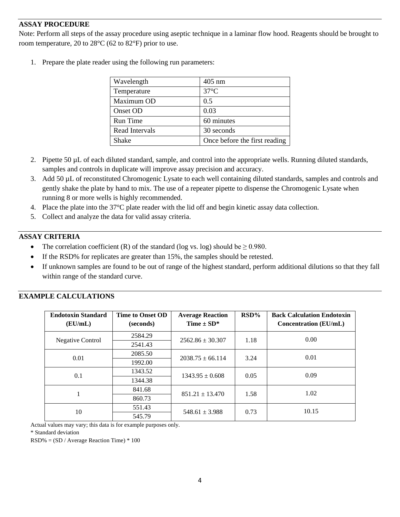## **ASSAY PROCEDURE**

Note: Perform all steps of the assay procedure using aseptic technique in a laminar flow hood. Reagents should be brought to room temperature, 20 to 28°C (62 to 82°F) prior to use.

1. Prepare the plate reader using the following run parameters:

| Wavelength     | $405$ nm                      |  |  |
|----------------|-------------------------------|--|--|
| Temperature    | $37^{\circ}$ C                |  |  |
| Maximum OD     | 0.5                           |  |  |
| Onset OD       | 0.03                          |  |  |
| Run Time       | 60 minutes                    |  |  |
| Read Intervals | 30 seconds                    |  |  |
| Shake          | Once before the first reading |  |  |

- 2. Pipette 50  $\mu$ L of each diluted standard, sample, and control into the appropriate wells. Running diluted standards, samples and controls in duplicate will improve assay precision and accuracy.
- 3. Add 50 µL of reconstituted Chromogenic Lysate to each well containing diluted standards, samples and controls and gently shake the plate by hand to mix. The use of a repeater pipette to dispense the Chromogenic Lysate when running 8 or more wells is highly recommended.
- 4. Place the plate into the 37°C plate reader with the lid off and begin kinetic assay data collection.
- 5. Collect and analyze the data for valid assay criteria.

## **ASSAY CRITERIA**

- The correlation coefficient (R) of the standard (log vs. log) should be  $\geq 0.980$ .
- If the RSD% for replicates are greater than 15%, the samples should be retested.
- If unknown samples are found to be out of range of the highest standard, perform additional dilutions so that they fall within range of the standard curve.

| <b>Endotoxin Standard</b><br>(EU/mL) | <b>Time to Onset OD</b><br>(seconds) | <b>Average Reaction</b><br>Time $\pm$ SD* | $RSD\%$ | <b>Back Calculation Endotoxin</b><br><b>Concentration</b> (EU/mL) |
|--------------------------------------|--------------------------------------|-------------------------------------------|---------|-------------------------------------------------------------------|
| <b>Negative Control</b>              | 2584.29                              | $2562.86 \pm 30.307$                      | 1.18    | 0.00                                                              |
|                                      | 2541.43                              |                                           |         |                                                                   |
| 0.01                                 | 2085.50                              | $2038.75 + 66.114$                        | 3.24    | 0.01                                                              |
|                                      | 1992.00                              |                                           |         |                                                                   |
| 0.1                                  | 1343.52                              | $1343.95 \pm 0.608$                       | 0.05    | 0.09                                                              |
|                                      | 1344.38                              |                                           |         |                                                                   |
|                                      | 841.68                               | $851.21 \pm 13.470$                       | 1.58    | 1.02                                                              |
|                                      | 860.73                               |                                           |         |                                                                   |
| 10                                   | 551.43                               | $548.61 \pm 3.988$<br>0.73                | 10.15   |                                                                   |
|                                      | 545.79                               |                                           |         |                                                                   |

## **EXAMPLE CALCULATIONS**

Actual values may vary; this data is for example purposes only.

\* Standard deviation

RSD% = (SD / Average Reaction Time) \* 100